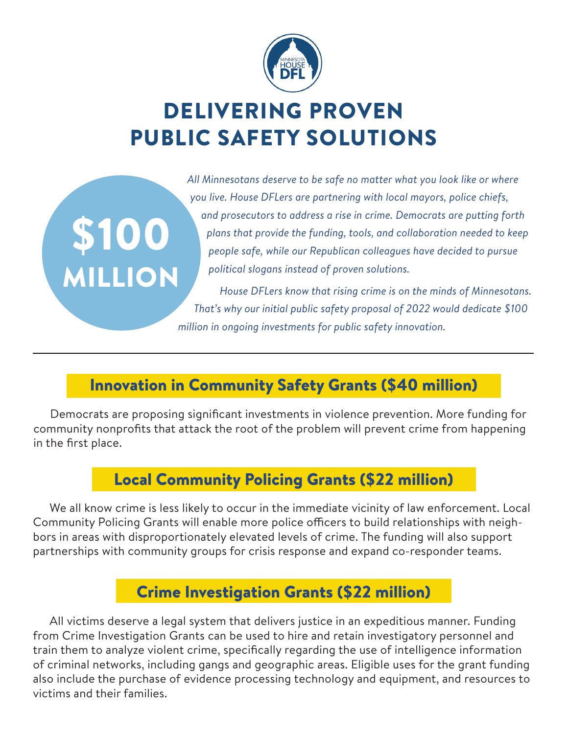

# DELIVERING PROVEN PUBLIC SAFETY SOLUTIONS

\$100

MILLION

*All Minnesotans deserve to be safe no matter what you look like or where you live. House DFLers are partnering with local mayors, police chiefs, and prosecutors to address a rise in crime. Democrats are putting forth plans that provide the funding, tools, and collaboration needed to keep people safe, while our Republican colleagues have decided to pursue political slogans instead of proven solutions.*

*House DFLers know that rising crime is on the minds of Minnesotans. That's why our initial public safety proposal of 2022 would dedicate \$100 million in ongoing investments for public safety innovation.*

### Innovation in Community Safety Grants (\$40 million)

Democrats are proposing significant investments in violence prevention. More funding for community nonprofits that attack the root of the problem will prevent crime from happening in the first place.

#### Local Community Policing Grants (\$22 million)

We all know crime is less likely to occur in the immediate vicinity of law enforcement. Local Community Policing Grants will enable more police officers to build relationships with neighbors in areas with disproportionately elevated levels of crime. The funding will also support partnerships with community groups for crisis response and expand co-responder teams.

#### Crime Investigation Grants (\$22 million)

All victims deserve a legal system that delivers justice in an expeditious manner. Funding from Crime Investigation Grants can be used to hire and retain investigatory personnel and train them to analyze violent crime, specifically regarding the use of intelligence information of criminal networks, including gangs and geographic areas. Eligible uses for the grant funding also include the purchase of evidence processing technology and equipment, and resources to victims and their families.